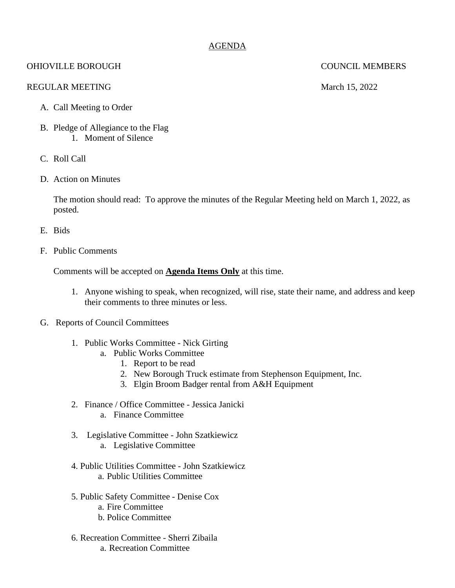## AGENDA

# OHIOVILLE BOROUGH COUNCIL MEMBERS

### REGULAR MEETING March 15, 2022

- A. Call Meeting to Order
- B. Pledge of Allegiance to the Flag 1. Moment of Silence
- C. Roll Call
- D. Action on Minutes

The motion should read: To approve the minutes of the Regular Meeting held on March 1, 2022, as posted.

- E. Bids
- F. Public Comments

Comments will be accepted on **Agenda Items Only** at this time.

- 1. Anyone wishing to speak, when recognized, will rise, state their name, and address and keep their comments to three minutes or less.
- G. Reports of Council Committees
	- 1. Public Works Committee Nick Girting
		- a. Public Works Committee
			- 1. Report to be read
			- 2. New Borough Truck estimate from Stephenson Equipment, Inc.
			- 3. Elgin Broom Badger rental from A&H Equipment
	- 2. Finance / Office Committee Jessica Janicki a. Finance Committee
	- 3. Legislative Committee John Szatkiewicz a. Legislative Committee
	- 4. Public Utilities Committee John Szatkiewicz a. Public Utilities Committee
	- 5. Public Safety Committee Denise Cox
		- a. Fire Committee
		- b. Police Committee
	- 6. Recreation Committee Sherri Zibaila a. Recreation Committee